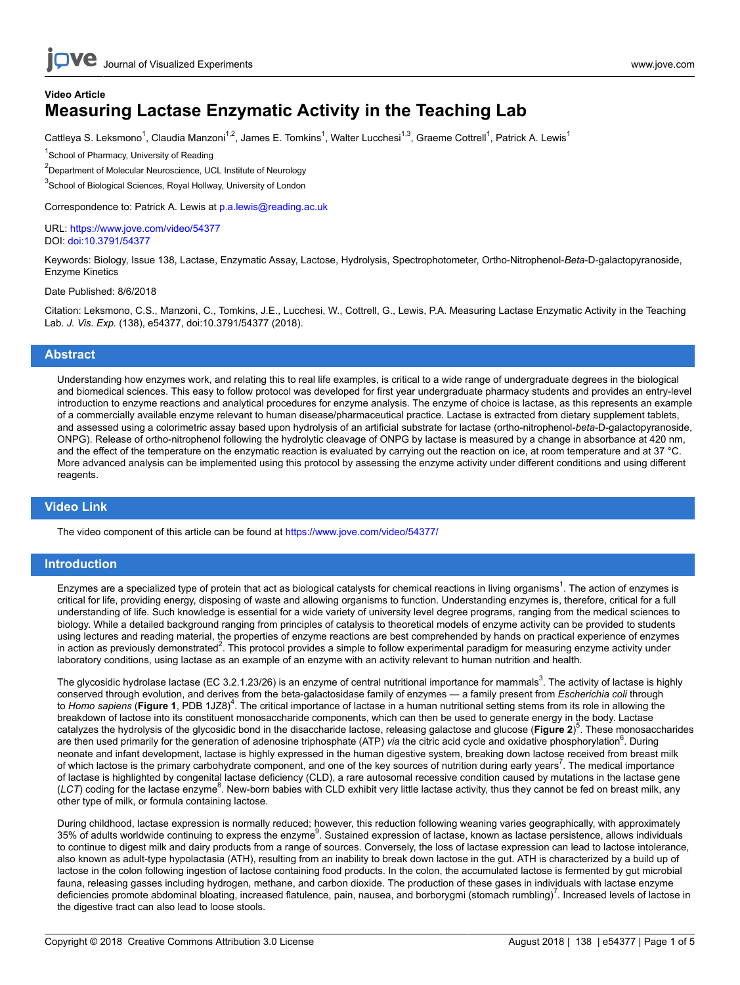### **Video Article Measuring Lactase Enzymatic Activity in the Teaching Lab**

Cattleya S. Leksmono<sup>1</sup>, Claudia Manzoni<sup>1,2</sup>, James E. Tomkins<sup>1</sup>, Walter Lucchesi<sup>1,3</sup>, Graeme Cottrell<sup>1</sup>, Patrick A. Lewis<sup>1</sup>

<sup>1</sup>School of Pharmacy, University of Reading

<sup>2</sup>Department of Molecular Neuroscience, UCL Institute of Neurology

<sup>3</sup>School of Biological Sciences, Royal Hollway, University of London

Correspondence to: Patrick A. Lewis at [p.a.lewis@reading.ac.uk](mailto:p.a.lewis@reading.ac.uk)

URL:<https://www.jove.com/video/54377> DOI: [doi:10.3791/54377](http://dx.doi.org/10.3791/54377)

Keywords: Biology, Issue 138, Lactase, Enzymatic Assay, Lactose, Hydrolysis, Spectrophotometer, Ortho-Nitrophenol-*Beta*-D-galactopyranoside, Enzyme Kinetics

#### Date Published: 8/6/2018

Citation: Leksmono, C.S., Manzoni, C., Tomkins, J.E., Lucchesi, W., Cottrell, G., Lewis, P.A. Measuring Lactase Enzymatic Activity in the Teaching Lab. *J. Vis. Exp.* (138), e54377, doi:10.3791/54377 (2018).

### **Abstract**

Understanding how enzymes work, and relating this to real life examples, is critical to a wide range of undergraduate degrees in the biological and biomedical sciences. This easy to follow protocol was developed for first year undergraduate pharmacy students and provides an entry-level introduction to enzyme reactions and analytical procedures for enzyme analysis. The enzyme of choice is lactase, as this represents an example of a commercially available enzyme relevant to human disease/pharmaceutical practice. Lactase is extracted from dietary supplement tablets, and assessed using a colorimetric assay based upon hydrolysis of an artificial substrate for lactase (ortho-nitrophenol-*beta*-D-galactopyranoside, ONPG). Release of ortho-nitrophenol following the hydrolytic cleavage of ONPG by lactase is measured by a change in absorbance at 420 nm, and the effect of the temperature on the enzymatic reaction is evaluated by carrying out the reaction on ice, at room temperature and at 37 °C. More advanced analysis can be implemented using this protocol by assessing the enzyme activity under different conditions and using different reagents.

### **Video Link**

The video component of this article can be found at <https://www.jove.com/video/54377/>

### **Introduction**

Enzymes are a specialized type of protein that act as biological catalysts for chemical reactions in living organisms<sup>1</sup>. The action of enzymes is critical for life, providing energy, disposing of waste and allowing organisms to function. Understanding enzymes is, therefore, critical for a full understanding of life. Such knowledge is essential for a wide variety of university level degree programs, ranging from the medical sciences to biology. While a detailed background ranging from principles of catalysis to theoretical models of enzyme activity can be provided to students using lectures and reading material, the properties of enzyme reactions are best comprehended by hands on practical experience of enzymes in action as previously demonstrated<sup>2</sup>. This protocol provides a simple to follow experimental paradigm for measuring enzyme activity under laboratory conditions, using lactase as an example of an enzyme with an activity relevant to human nutrition and health.

The glycosidic hydrolase lactase (EC 3.2.1.23/26) is an enzyme of central nutritional importance for mammals<sup>3</sup>. The activity of lactase is highly conserved through evolution, and derives from the beta-galactosidase family of enzymes — a family present from *Escherichia coli* through to Homo sapiens (Figure 1, PDB 1JZ8)<sup>4</sup>. The critical importance of lactase in a human nutritional setting stems from its role in allowing the breakdown of lactose into its constituent monosaccharide components, which can then be used to generate energy in the body. Lactase catalyzes the hydrolysis of the glycosidic bond in the disaccharide lactose, releasing galactose and glucose (**Figure 2**) 5 . These monosaccharides are then used primarily for the generation of adenosine triphosphate (ATP) via the citric acid cycle and oxidative phosphorylation<sup>6</sup>. During neonate and infant development, lactase is highly expressed in the human digestive system, breaking down lactose received from breast milk of which lactose is the primary carbohydrate component, and one of the key sources of nutrition during early years<sup>7</sup>. The medical importance of lactase is highlighted by congenital lactase deficiency (CLD), a rare autosomal recessive condition caused by mutations in the lactase gene (LCT) coding for the lactase enzyme<sup>8</sup>. New-born babies with CLD exhibit very little lactase activity, thus they cannot be fed on breast milk, any other type of milk, or formula containing lactose.

During childhood, lactase expression is normally reduced; however, this reduction following weaning varies geographically, with approximately 35% of adults worldwide continuing to express the enzyme $^9$ . Sustained expression of lactase, known as lactase persistence, allows individuals to continue to digest milk and dairy products from a range of sources. Conversely, the loss of lactase expression can lead to lactose intolerance, also known as adult-type hypolactasia (ATH), resulting from an inability to break down lactose in the gut. ATH is characterized by a build up of lactose in the colon following ingestion of lactose containing food products. In the colon, the accumulated lactose is fermented by gut microbial fauna, releasing gasses including hydrogen, methane, and carbon dioxide. The production of these gases in individuals with lactase enzyme deficiencies promote abdominal bloating, increased flatulence, pain, nausea, and borborygmi (stomach rumbling)<sup>7</sup>. Increased levels of lactose in the digestive tract can also lead to loose stools.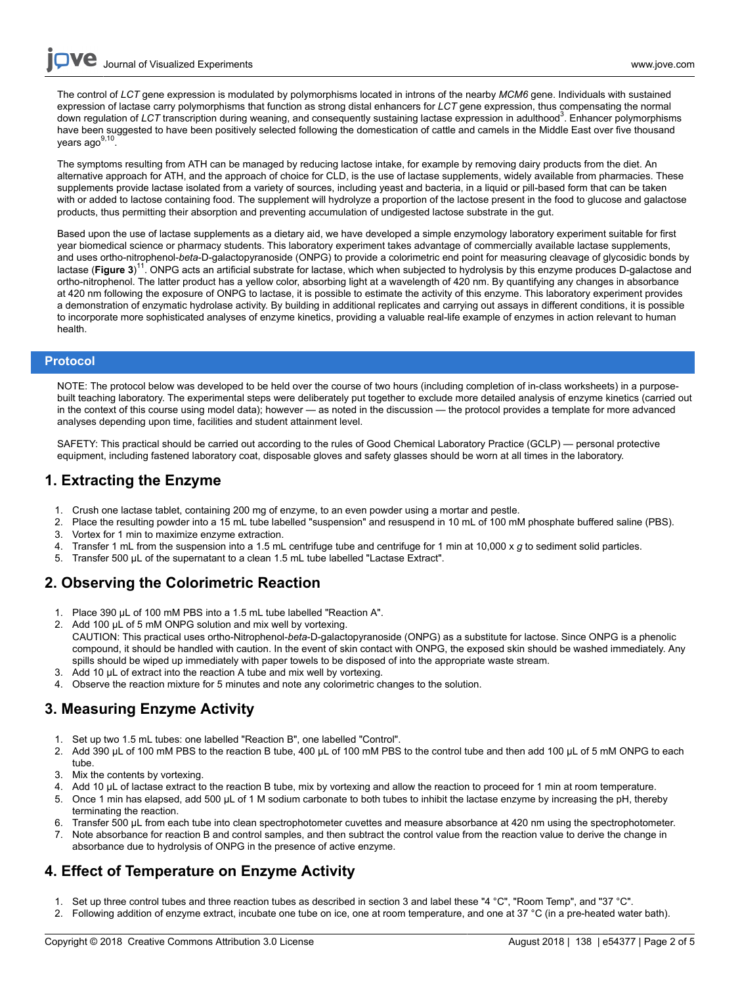The control of *LCT* gene expression is modulated by polymorphisms located in introns of the nearby *MCM6* gene. Individuals with sustained expression of lactase carry polymorphisms that function as strong distal enhancers for *LCT* gene expression, thus compensating the normal down regulation of LCT transcription during weaning, and consequently sustaining lactase expression in adulthood<sup>3</sup>. Enhancer polymorphisms have been suggested to have been positively selected following the domestication of cattle and camels in the Middle East over five thousand years ago<sup>9,10</sup> .

The symptoms resulting from ATH can be managed by reducing lactose intake, for example by removing dairy products from the diet. An alternative approach for ATH, and the approach of choice for CLD, is the use of lactase supplements, widely available from pharmacies. These supplements provide lactase isolated from a variety of sources, including yeast and bacteria, in a liquid or pill-based form that can be taken with or added to lactose containing food. The supplement will hydrolyze a proportion of the lactose present in the food to glucose and galactose products, thus permitting their absorption and preventing accumulation of undigested lactose substrate in the gut.

Based upon the use of lactase supplements as a dietary aid, we have developed a simple enzymology laboratory experiment suitable for first year biomedical science or pharmacy students. This laboratory experiment takes advantage of commercially available lactase supplements, and uses ortho-nitrophenol-*beta*-D-galactopyranoside (ONPG) to provide a colorimetric end point for measuring cleavage of glycosidic bonds by lactase (Figure 3)<sup>11</sup>. ONPG acts an artificial substrate for lactase, which when subjected to hydrolysis by this enzyme produces D-galactose and ortho-nitrophenol. The latter product has a yellow color, absorbing light at a wavelength of 420 nm. By quantifying any changes in absorbance at 420 nm following the exposure of ONPG to lactase, it is possible to estimate the activity of this enzyme. This laboratory experiment provides a demonstration of enzymatic hydrolase activity. By building in additional replicates and carrying out assays in different conditions, it is possible to incorporate more sophisticated analyses of enzyme kinetics, providing a valuable real-life example of enzymes in action relevant to human health.

### **Protocol**

NOTE: The protocol below was developed to be held over the course of two hours (including completion of in-class worksheets) in a purposebuilt teaching laboratory. The experimental steps were deliberately put together to exclude more detailed analysis of enzyme kinetics (carried out in the context of this course using model data); however — as noted in the discussion — the protocol provides a template for more advanced analyses depending upon time, facilities and student attainment level.

SAFETY: This practical should be carried out according to the rules of Good Chemical Laboratory Practice (GCLP) — personal protective equipment, including fastened laboratory coat, disposable gloves and safety glasses should be worn at all times in the laboratory.

### **1. Extracting the Enzyme**

- 1. Crush one lactase tablet, containing 200 mg of enzyme, to an even powder using a mortar and pestle.
- 2. Place the resulting powder into a 15 mL tube labelled "suspension" and resuspend in 10 mL of 100 mM phosphate buffered saline (PBS).
- 3. Vortex for 1 min to maximize enzyme extraction. 4. Transfer 1 mL from the suspension into a 1.5 mL centrifuge tube and centrifuge for 1 min at 10,000 x *g* to sediment solid particles.
- 5. Transfer 500 µL of the supernatant to a clean 1.5 mL tube labelled "Lactase Extract".

## **2. Observing the Colorimetric Reaction**

- 1. Place 390 µL of 100 mM PBS into a 1.5 mL tube labelled "Reaction A".
- 2. Add 100 µL of 5 mM ONPG solution and mix well by vortexing. CAUTION: This practical uses ortho-Nitrophenol-*beta*-D-galactopyranoside (ONPG) as a substitute for lactose. Since ONPG is a phenolic compound, it should be handled with caution. In the event of skin contact with ONPG, the exposed skin should be washed immediately. Any spills should be wiped up immediately with paper towels to be disposed of into the appropriate waste stream.
- 3. Add 10 µL of extract into the reaction A tube and mix well by vortexing.
- 4. Observe the reaction mixture for 5 minutes and note any colorimetric changes to the solution.

## **3. Measuring Enzyme Activity**

- 1. Set up two 1.5 mL tubes: one labelled "Reaction B", one labelled "Control".
- 2. Add 390 µL of 100 mM PBS to the reaction B tube, 400 µL of 100 mM PBS to the control tube and then add 100 µL of 5 mM ONPG to each tube.
- 3. Mix the contents by vortexing.
- Add 10 µL of lactase extract to the reaction B tube, mix by vortexing and allow the reaction to proceed for 1 min at room temperature.
- 5. Once 1 min has elapsed, add 500 µL of 1 M sodium carbonate to both tubes to inhibit the lactase enzyme by increasing the pH, thereby terminating the reaction.
- 6. Transfer 500 µL from each tube into clean spectrophotometer cuvettes and measure absorbance at 420 nm using the spectrophotometer.
- 7. Note absorbance for reaction B and control samples, and then subtract the control value from the reaction value to derive the change in absorbance due to hydrolysis of ONPG in the presence of active enzyme.

## **4. Effect of Temperature on Enzyme Activity**

- 1. Set up three control tubes and three reaction tubes as described in section 3 and label these "4 °C", "Room Temp", and "37 °C".
- 2. Following addition of enzyme extract, incubate one tube on ice, one at room temperature, and one at 37 °C (in a pre-heated water bath).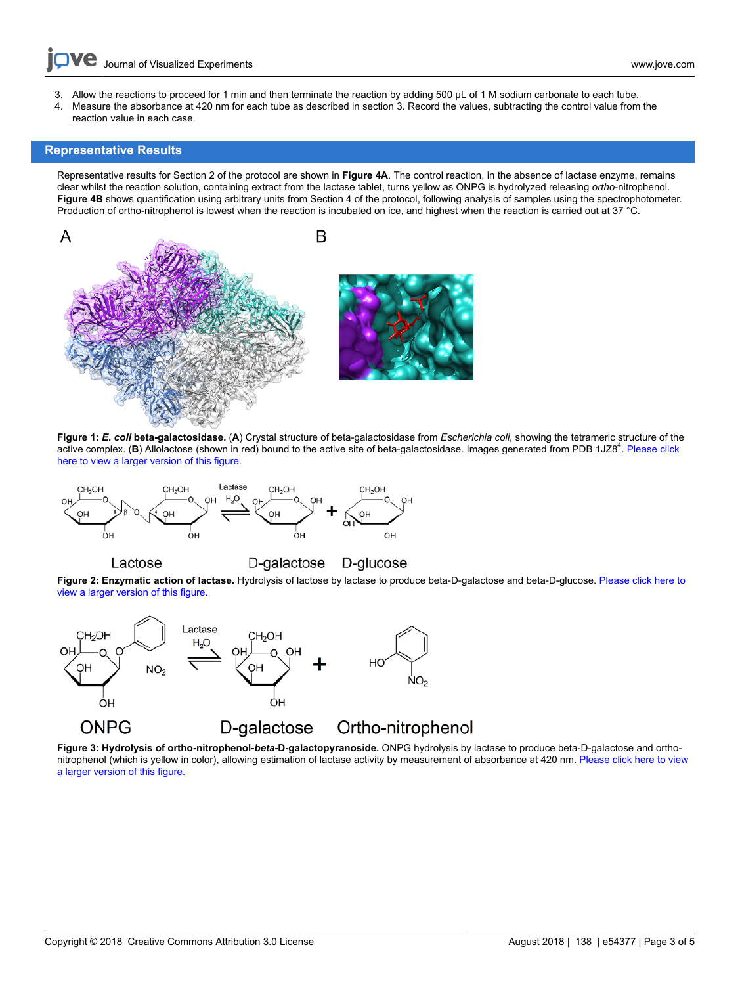- Journal of Visualized [Experiments](https://www.jove.com) [www.jove.com](https://www.jove.com)
- 3. Allow the reactions to proceed for 1 min and then terminate the reaction by adding 500 µL of 1 M sodium carbonate to each tube.
- 4. Measure the absorbance at 420 nm for each tube as described in section 3. Record the values, subtracting the control value from the reaction value in each case.

### **Representative Results**

Lactose

Representative results for Section 2 of the protocol are shown in **Figure 4A**. The control reaction, in the absence of lactase enzyme, remains clear whilst the reaction solution, containing extract from the lactase tablet, turns yellow as ONPG is hydrolyzed releasing *ortho*-nitrophenol. **Figure 4B** shows quantification using arbitrary units from Section 4 of the protocol, following analysis of samples using the spectrophotometer. Production of ortho-nitrophenol is lowest when the reaction is incubated on ice, and highest when the reaction is carried out at 37 °C.



**Figure 1:** *E. coli* **beta-galactosidase.** (**A**) Crystal structure of beta-galactosidase from *Escherichia coli*, showing the tetrameric structure of the active complex. (B) Allolactose (shown in red) bound to the active site of beta-galactosidase. Images generated from PDB 1JZ8<sup>4</sup>. [Please click](https://www.jove.com/files/ftp_upload/54377/54377fig1large.jpg) [here to view a larger version of this figure.](https://www.jove.com/files/ftp_upload/54377/54377fig1large.jpg)



D-galactose D-glucose

**Figure 2: Enzymatic action of lactase.** Hydrolysis of lactose by lactase to produce beta-D-galactose and beta-D-glucose. [Please click here to](https://www.jove.com/files/ftp_upload/54377/54377fig2large.jpg) [view a larger version of this figure.](https://www.jove.com/files/ftp_upload/54377/54377fig2large.jpg)



**Figure 3: Hydrolysis of ortho-nitrophenol-***beta***-D-galactopyranoside.** ONPG hydrolysis by lactase to produce beta-D-galactose and orthonitrophenol (which is yellow in color), allowing estimation of lactase activity by measurement of absorbance at 420 nm. [Please click here to view](https://www.jove.com/files/ftp_upload/54377/54377fig3large.jpg) [a larger version of this figure.](https://www.jove.com/files/ftp_upload/54377/54377fig3large.jpg)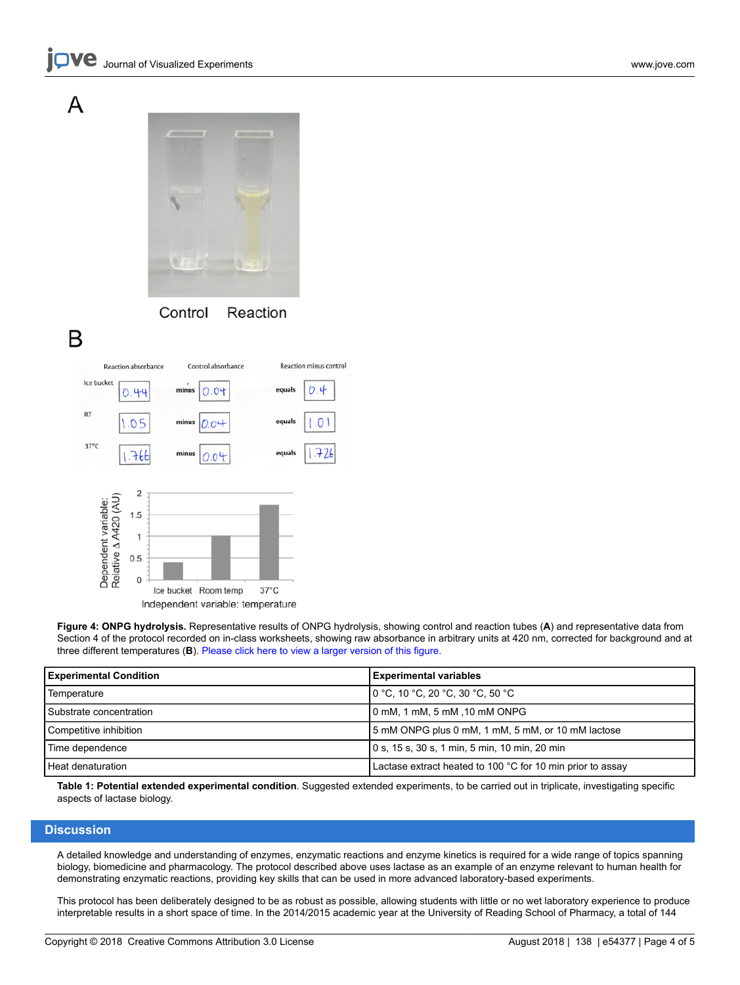# А



# B

Reaction absorbance Control absorbance Reaction minus control





**Figure 4: ONPG hydrolysis.** Representative results of ONPG hydrolysis, showing control and reaction tubes (**A**) and representative data from Section 4 of the protocol recorded on in-class worksheets, showing raw absorbance in arbitrary units at 420 nm, corrected for background and at three different temperatures (**B**). [Please click here to view a larger version of this figure.](https://www.jove.com/files/ftp_upload/54377/54377fig4large.jpg)

| <b>Experimental Condition</b> | <b>Experimental variables</b>                                                      |
|-------------------------------|------------------------------------------------------------------------------------|
| Temperature                   | $10^{\circ}$ C, 10 $^{\circ}$ C, 20 $^{\circ}$ C, 30 $^{\circ}$ C, 50 $^{\circ}$ C |
| l Substrate concentration     | 10 mM, 1 mM, 5 mM ,10 mM ONPG                                                      |
| Competitive inhibition        | 5 mM ONPG plus 0 mM, 1 mM, 5 mM, or 10 mM lactose                                  |
| Time dependence               | 0 s, 15 s, 30 s, 1 min, 5 min, 10 min, 20 min                                      |
| l Heat denaturation           | Lactase extract heated to 100 °C for 10 min prior to assay                         |

**Table 1: Potential extended experimental condition**. Suggested extended experiments, to be carried out in triplicate, investigating specific aspects of lactase biology.

#### **Discussion**

A detailed knowledge and understanding of enzymes, enzymatic reactions and enzyme kinetics is required for a wide range of topics spanning biology, biomedicine and pharmacology. The protocol described above uses lactase as an example of an enzyme relevant to human health for demonstrating enzymatic reactions, providing key skills that can be used in more advanced laboratory-based experiments.

This protocol has been deliberately designed to be as robust as possible, allowing students with little or no wet laboratory experience to produce interpretable results in a short space of time. In the 2014/2015 academic year at the University of Reading School of Pharmacy, a total of 144